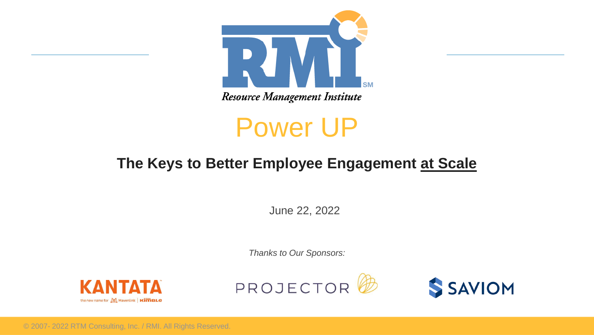

Resource Management Institute

# Power UP

### **The Keys to Better Employee Engagement at Scale**

June 22, 2022

*Thanks to Our Sponsors:*







© 2007- 2022 RTM Consulting, Inc. / RMI. All Rights Reserved.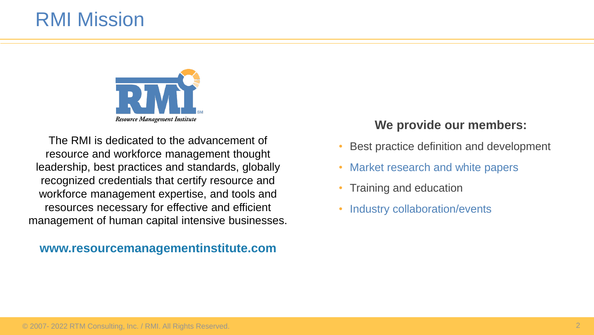## RMI Mission



The RMI is dedicated to the advancement of resource and workforce management thought leadership, best practices and standards, globally recognized credentials that certify resource and workforce management expertise, and tools and resources necessary for effective and efficient management of human capital intensive businesses.

#### **www.resourcemanagementinstitute.com**

#### **We provide our members:**

- Best practice definition and development
- Market research and white papers
- Training and education
- Industry collaboration/events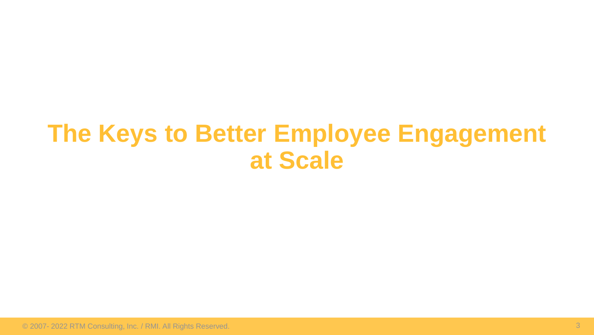# **The Keys to Better Employee Engagement at Scale**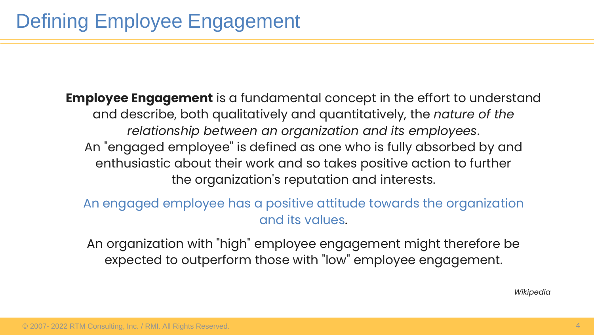**Employee Engagement** is a fundamental concept in the effort to understand and describe, both qualitatively and quantitatively, the *nature of the relationship between an organization and its employees*. An "engaged employee" is defined as one who is fully absorbed by and enthusiastic about their work and so takes positive action to further the organization's reputation and interests.

An engaged employee has a positive attitude towards the organization and its values.

An organization with "high" employee engagement might therefore be expected to outperform those with "low" employee engagement.

*Wikipedia*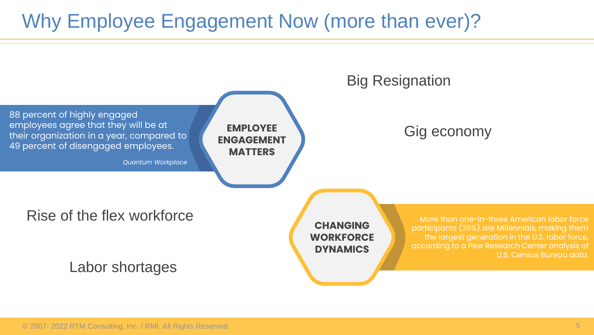# Why Employee Engagement Now (more than ever)?

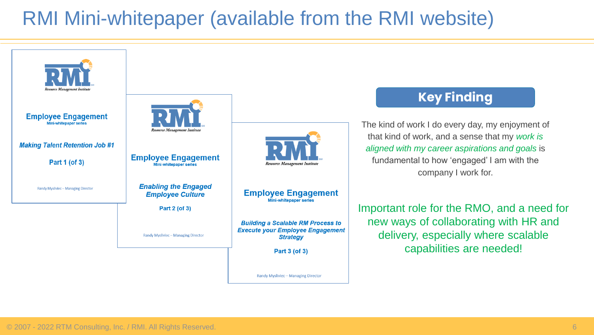# RMI Mini-whitepaper (available from the RMI website)

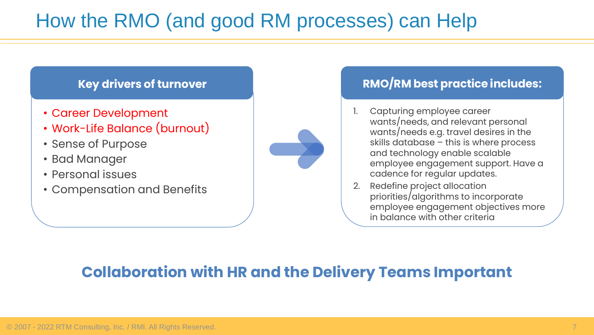# How the RMO (and good RM processes) can Help

### **Key drivers of turnover**

- Career Development
- Work-Life Balance (burnout)
- Sense of Purpose
- Bad Manager
- Personal issues
- Compensation and Benefits

![](_page_6_Picture_8.jpeg)

### **RMO/RM best practice includes:**

- 1. Capturing employee career wants/needs, and relevant personal wants/needs e.g. travel desires in the skills database – this is where process and technology enable scalable employee engagement support. Have a cadence for regular updates.
- 2. Redefine project allocation priorities/algorithms to incorporate employee engagement objectives more in balance with other criteria

### **Collaboration with HR and the Delivery Teams Important**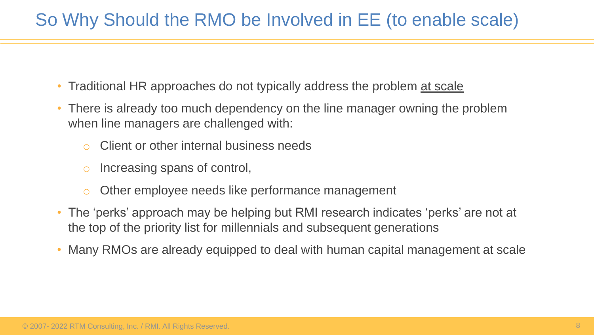### So Why Should the RMO be Involved in EE (to enable scale)

- Traditional HR approaches do not typically address the problem at scale
- There is already too much dependency on the line manager owning the problem when line managers are challenged with:
	- Client or other internal business needs
	- o Increasing spans of control,
	- o Other employee needs like performance management
- The 'perks' approach may be helping but RMI research indicates 'perks' are not at the top of the priority list for millennials and subsequent generations
- Many RMOs are already equipped to deal with human capital management at scale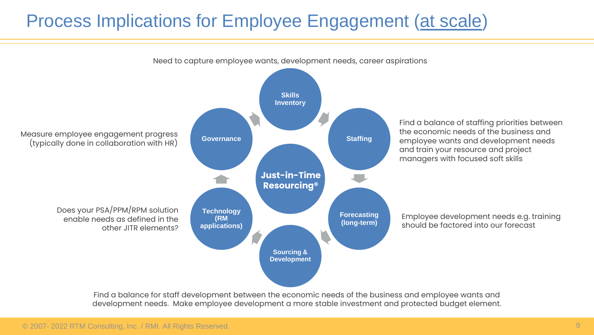### Process Implications for Employee Engagement (at scale)

![](_page_8_Figure_1.jpeg)

Find a balance for staff development between the economic needs of the business and employee wants and development needs. Make employee development a more stable investment and protected budget element.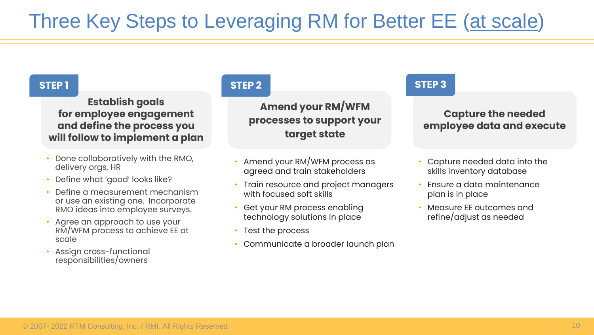# Three Key Steps to Leveraging RM for Better EE (at scale)

#### **Establish goals for employee engagement and define the process you will follow to implement a plan**

- Done collaboratively with the RMO, delivery orgs, HR
- Define what 'good' looks like?
- Define a measurement mechanism or use an existing one. Incorporate RMO ideas into employee surveys.
- Agree an approach to use your RM/WFM process to achieve EE at scale
- Assign cross-functional responsibilities/owners

#### **STEP 1 STEP 2 STEP 3**

**Amend your RM/WFM processes to support your target state**

- Amend your RM/WFM process as agreed and train stakeholders
- Train resource and project managers with focused soft skills
- Get your RM process enabling technology solutions in place
- Test the process
- Communicate a broader launch plan

#### **Capture the needed employee data and execute**

- Capture needed data into the skills inventory database
- Ensure a data maintenance plan is in place
- Measure EE outcomes and refine/adjust as needed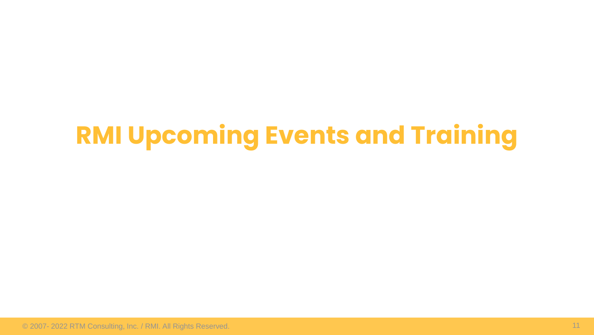# **RMI Upcoming Events and Training**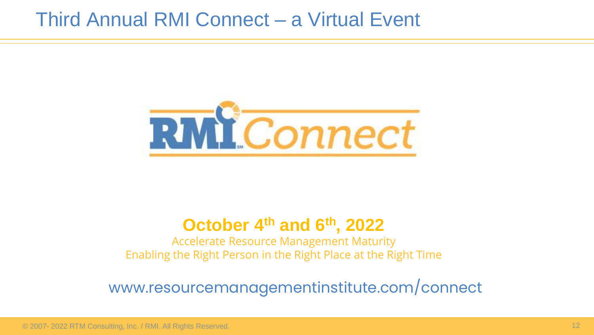### Third Annual RMI Connect – a Virtual Event

![](_page_11_Picture_1.jpeg)

### **October 4th and 6th, 2022**

Accelerate Resource Management Maturity Enabling the Right Person in the Right Place at the Right Time

### www.resourcemanagementinstitute.com/connect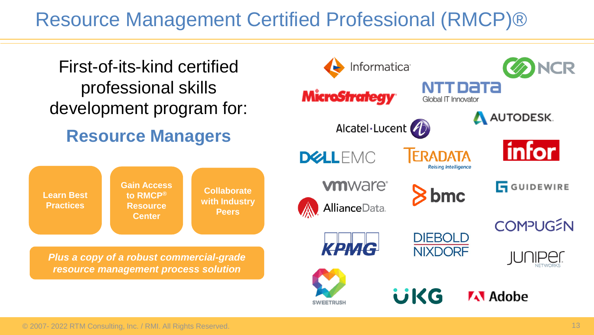## Resource Management Certified Professional (RMCP)®

![](_page_12_Figure_1.jpeg)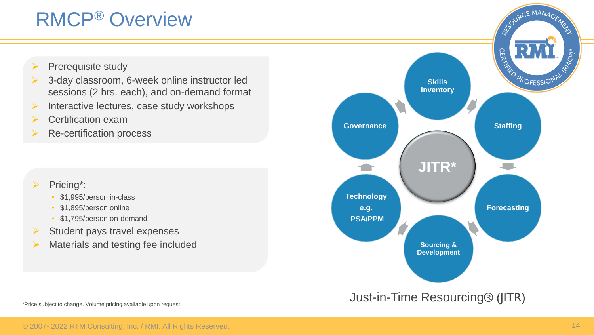# RMCP® Overview

- Prerequisite study
- 3-day classroom, 6-week online instructor led sessions (2 hrs. each), and on-demand format
- $\triangleright$  Interactive lectures, case study workshops
- ➢ Certification exam
- ➢ Re-certification process

#### Pricing\*:

- \$1,995/person in-class
- \$1,895/person online
- \$1,795/person on-demand
- $\triangleright$  Student pays travel expenses
- $\triangleright$  Materials and testing fee included

![](_page_13_Figure_12.jpeg)

\*Price subject to change. Volume pricing available upon request.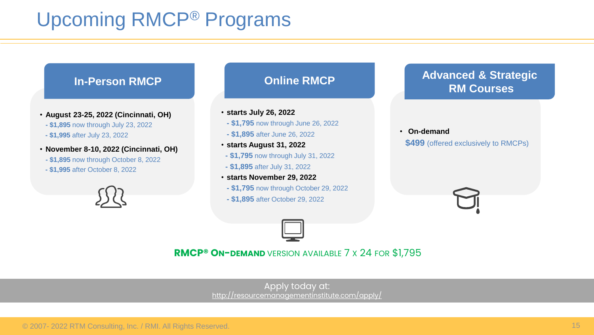# Upcoming RMCP® Programs

![](_page_14_Figure_1.jpeg)

#### **RMCP® ON-DEMAND** VERSION AVAILABLE 7 X 24 FOR \$1,795

Apply today at: <http://resourcemanagementinstitute.com/apply/>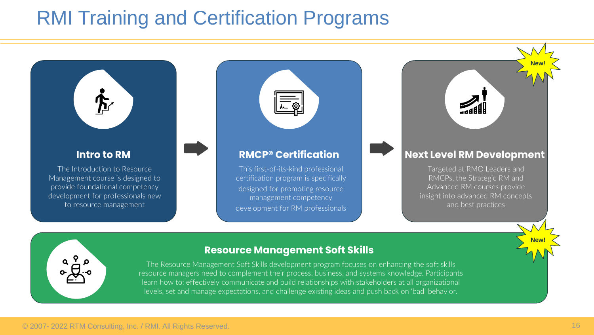# RMI Training and Certification Programs

![](_page_15_Figure_1.jpeg)

#### **Intro to RM**

The Introduction to Resource Management course is designed to provide foundational competency development for professionals new to resource management

![](_page_15_Figure_4.jpeg)

#### **RMCP® Certification**

This first-of-its-kind professional certification program is specifically designed for promoting resource management competency development for RM professionals

![](_page_15_Figure_7.jpeg)

**New!**

**New!**

Targeted at RMO Leaders and RMCPs, the Strategic RM and Advanced RM courses provide insight into advanced RM concepts and best practices

![](_page_15_Picture_9.jpeg)

#### **Resource Management Soft Skills**

The Resource Management Soft Skills development program focuses on enhancing the soft skills resource managers need to complement their process, business, and systems knowledge. Participants learn how to: effectively communicate and build relationships with stakeholders at all organizational levels, set and manage expectations, and challenge existing ideas and push back on 'bad' behavior.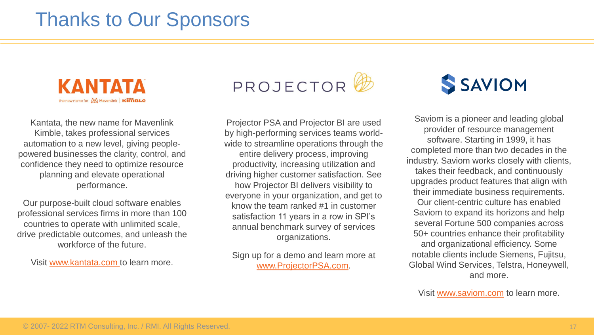# Thanks to Our Sponsors

![](_page_16_Picture_1.jpeg)

Kantata, the new name for Mavenlink Kimble, takes professional services automation to a new level, giving peoplepowered businesses the clarity, control, and confidence they need to optimize resource planning and elevate operational performance.

Our purpose-built cloud software enables professional services firms in more than 100 countries to operate with unlimited scale, drive predictable outcomes, and unleash the workforce of the future.

Visit [www.kantata.com](https://www.kantata.com/) to learn more.

![](_page_16_Picture_5.jpeg)

Projector PSA and Projector BI are used by high-performing services teams worldwide to streamline operations through the entire delivery process, improving productivity, increasing utilization and driving higher customer satisfaction. See how Projector BI delivers visibility to everyone in your organization, and get to know the team ranked #1 in customer satisfaction 11 years in a row in SPI's annual benchmark survey of services organizations.

Sign up for a demo and learn more at [www.ProjectorPSA.com.](http://www.projectorpsa.com/)

# **SSAVIOM**

Saviom is a pioneer and leading global provider of resource management software. Starting in 1999, it has completed more than two decades in the industry. Saviom works closely with clients, takes their feedback, and continuously upgrades product features that align with their immediate business requirements. Our client-centric culture has enabled Saviom to expand its horizons and help several Fortune 500 companies across 50+ countries enhance their profitability and organizational efficiency. Some notable clients include Siemens, Fujitsu, Global Wind Services, Telstra, Honeywell, and more.

Visit [www.saviom.com](http://www.saviom.com/) to learn more.